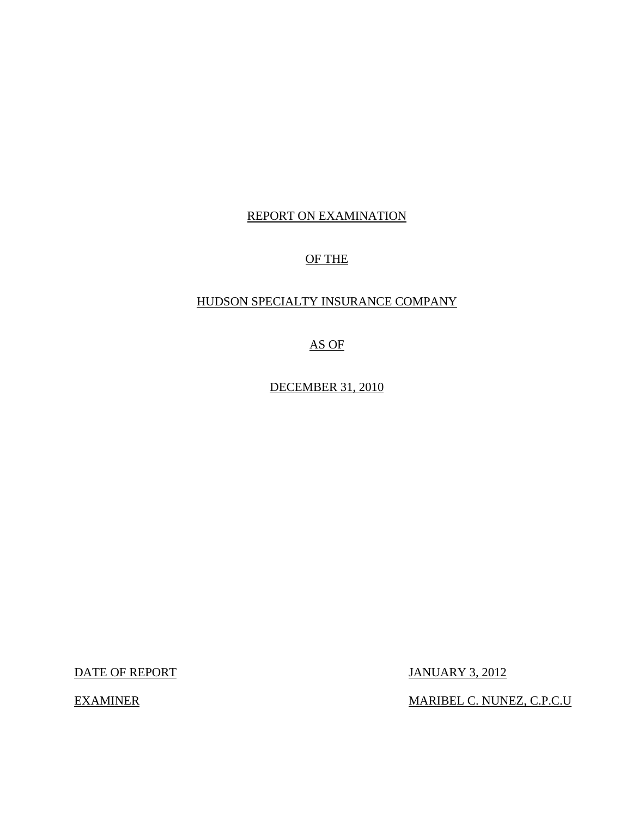# REPORT ON EXAMINATION

# OF THE

# HUDSON SPECIALTY INSURANCE COMPANY

AS OF

DECEMBER 31, 2010

DATE OF REPORT JANUARY 3, 2012

EXAMINER MARIBEL C. NUNEZ, C.P.C.U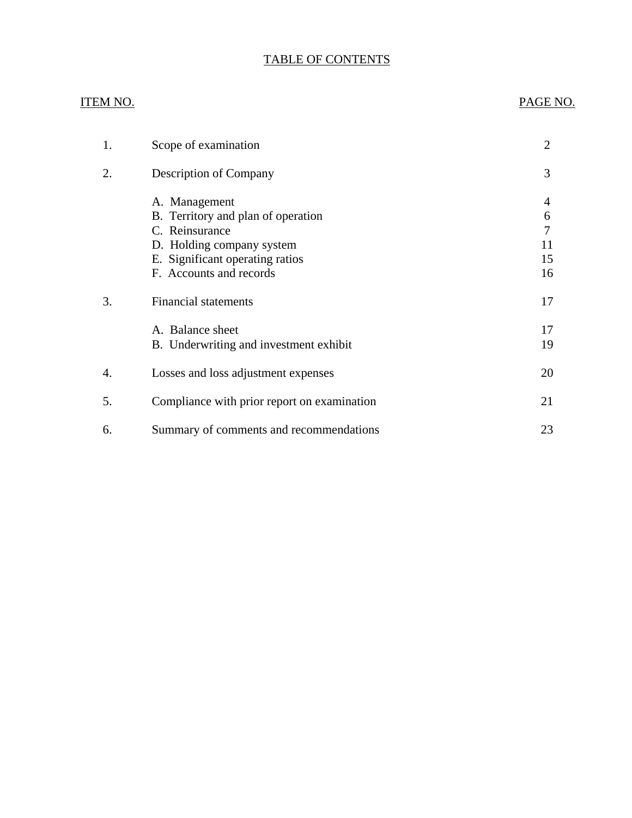# TABLE OF CONTENTS

#### ITEM NO.

#### PAGE NO.

| 1. | Scope of examination                                                                                                                                             | 2                             |
|----|------------------------------------------------------------------------------------------------------------------------------------------------------------------|-------------------------------|
| 2. | <b>Description of Company</b>                                                                                                                                    | 3                             |
|    | A. Management<br>B. Territory and plan of operation<br>C. Reinsurance<br>D. Holding company system<br>E. Significant operating ratios<br>F. Accounts and records | 4<br>6<br>7<br>11<br>15<br>16 |
| 3. | <b>Financial statements</b>                                                                                                                                      | 17                            |
|    | A. Balance sheet<br>B. Underwriting and investment exhibit                                                                                                       | 17<br>19                      |
| 4. | Losses and loss adjustment expenses                                                                                                                              | 20                            |
| 5. | Compliance with prior report on examination                                                                                                                      | 21                            |
| 6. | Summary of comments and recommendations                                                                                                                          | 23                            |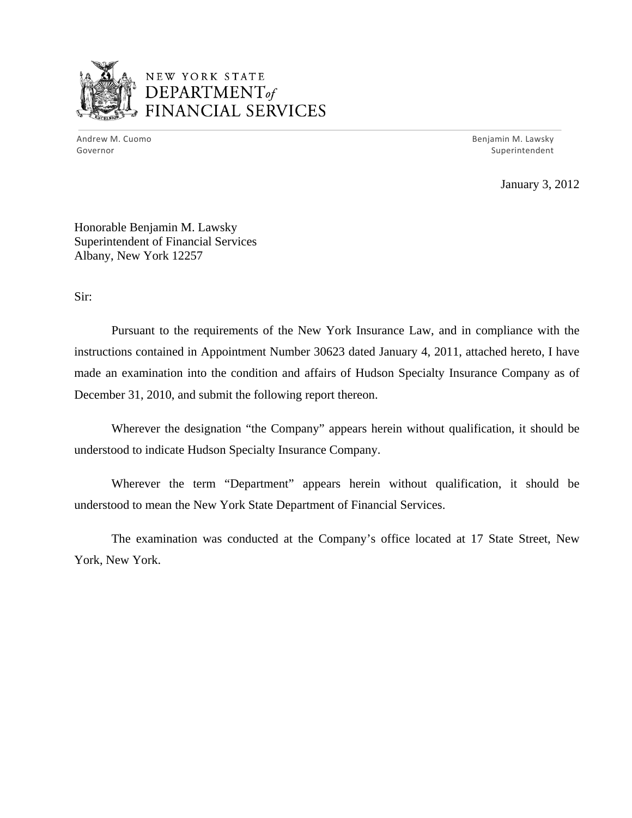

# NEW YORK STATE DEPARTMENT *of*  FINANCIAL SERVICES

 Andrew M. Cuomo Benjamin M. Lawsky Governor Superintendent

January 3, 2012

Honorable Benjamin M. Lawsky Superintendent of Financial Services Albany, New York 12257

Sir:

Pursuant to the requirements of the New York Insurance Law, and in compliance with the instructions contained in Appointment Number 30623 dated January 4, 2011, attached hereto, I have made an examination into the condition and affairs of Hudson Specialty Insurance Company as of December 31, 2010, and submit the following report thereon.

Wherever the designation "the Company" appears herein without qualification, it should be understood to indicate Hudson Specialty Insurance Company.

Wherever the term "Department" appears herein without qualification, it should be understood to mean the New York State Department of Financial Services.

The examination was conducted at the Company's office located at 17 State Street, New York, New York.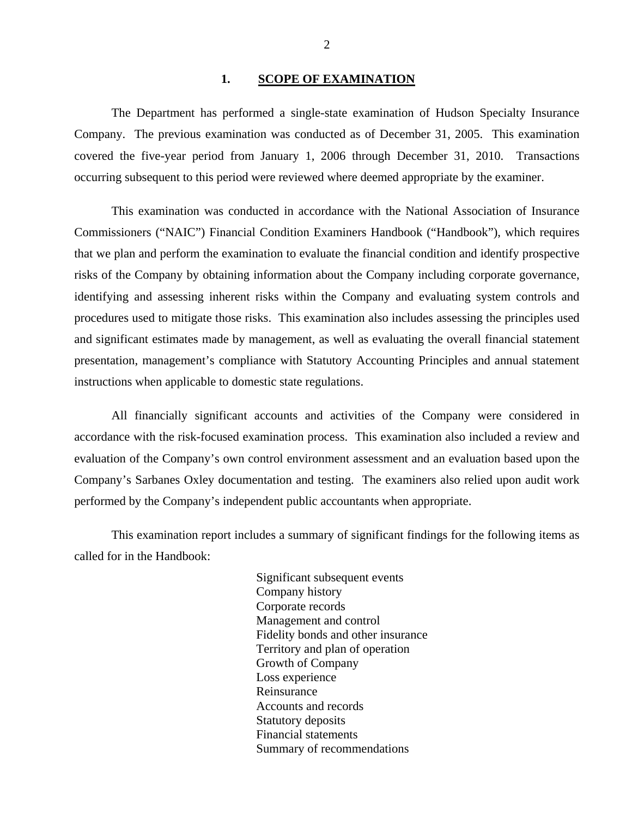#### 1. SCOPE OF EXAMINATION

<span id="page-3-0"></span>Company. The previous examination was conducted as of December 31, 2005. This examination The Department has performed a single-state examination of Hudson Specialty Insurance covered the five-year period from January 1, 2006 through December 31, 2010. Transactions occurring subsequent to this period were reviewed where deemed appropriate by the examiner.

This examination was conducted in accordance with the National Association of Insurance Commissioners ("NAIC") Financial Condition Examiners Handbook ("Handbook"), which requires that we plan and perform the examination to evaluate the financial condition and identify prospective risks of the Company by obtaining information about the Company including corporate governance, identifying and assessing inherent risks within the Company and evaluating system controls and procedures used to mitigate those risks. This examination also includes assessing the principles used and significant estimates made by management, as well as evaluating the overall financial statement presentation, management's compliance with Statutory Accounting Principles and annual statement instructions when applicable to domestic state regulations.

All financially significant accounts and activities of the Company were considered in accordance with the risk-focused examination process. This examination also included a review and evaluation of the Company's own control environment assessment and an evaluation based upon the Company's Sarbanes Oxley documentation and testing. The examiners also relied upon audit work performed by the Company's independent public accountants when appropriate.

This examination report includes a summary of significant findings for the following items as called for in the Handbook:

> Significant subsequent events Company history Corporate records Management and control Fidelity bonds and other insurance Territory and plan of operation Growth of Company Loss experience Reinsurance Accounts and records Statutory deposits Financial statements Summary of recommendations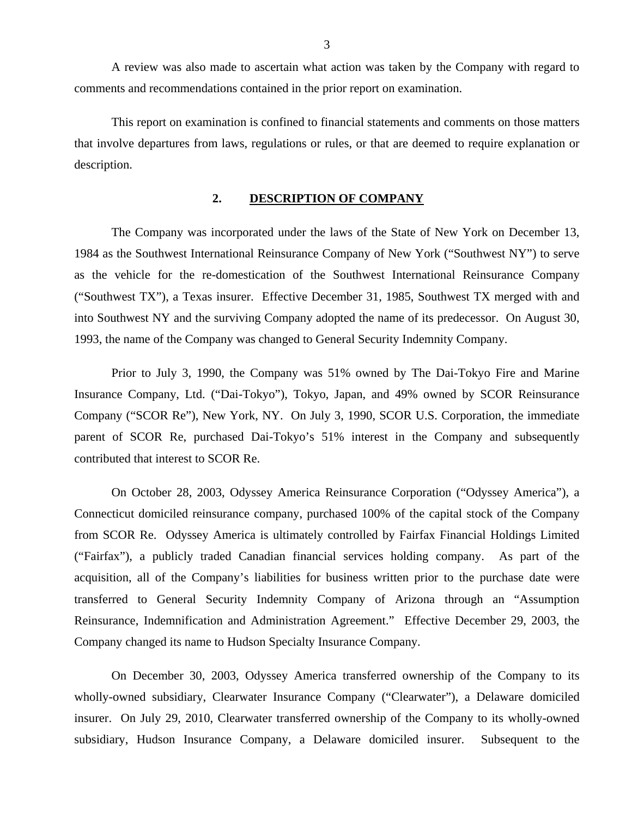<span id="page-4-0"></span>A review was also made to ascertain what action was taken by the Company with regard to comments and recommendations contained in the prior report on examination.

This report on examination is confined to financial statements and comments on those matters that involve departures from laws, regulations or rules, or that are deemed to require explanation or description.

#### **2. DESCRIPTION OF COMPANY**

The Company was incorporated under the laws of the State of New York on December 13, 1984 as the Southwest International Reinsurance Company of New York ("Southwest NY") to serve as the vehicle for the re-domestication of the Southwest International Reinsurance Company ("Southwest TX"), a Texas insurer. Effective December 31, 1985, Southwest TX merged with and into Southwest NY and the surviving Company adopted the name of its predecessor. On August 30, 1993, the name of the Company was changed to General Security Indemnity Company.

Prior to July 3, 1990, the Company was 51% owned by The Dai-Tokyo Fire and Marine Insurance Company, Ltd. ("Dai-Tokyo"), Tokyo, Japan, and 49% owned by SCOR Reinsurance Company ("SCOR Re"), New York, NY. On July 3, 1990, SCOR U.S. Corporation, the immediate parent of SCOR Re, purchased Dai-Tokyo's 51% interest in the Company and subsequently contributed that interest to SCOR Re.

On October 28, 2003, Odyssey America Reinsurance Corporation ("Odyssey America"), a Connecticut domiciled reinsurance company, purchased 100% of the capital stock of the Company from SCOR Re. Odyssey America is ultimately controlled by Fairfax Financial Holdings Limited ("Fairfax"), a publicly traded Canadian financial services holding company. As part of the acquisition, all of the Company's liabilities for business written prior to the purchase date were transferred to General Security Indemnity Company of Arizona through an "Assumption Reinsurance, Indemnification and Administration Agreement." Effective December 29, 2003, the Company changed its name to Hudson Specialty Insurance Company.

On December 30, 2003, Odyssey America transferred ownership of the Company to its wholly-owned subsidiary, Clearwater Insurance Company ("Clearwater"), a Delaware domiciled insurer. On July 29, 2010, Clearwater transferred ownership of the Company to its wholly-owned subsidiary, Hudson Insurance Company, a Delaware domiciled insurer. Subsequent to the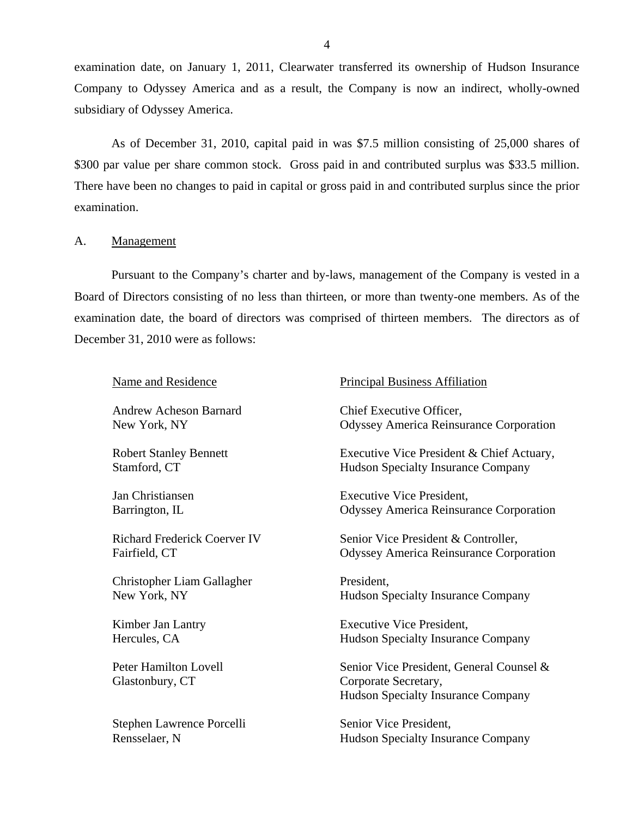<span id="page-5-0"></span>examination date, on January 1, 2011, Clearwater transferred its ownership of Hudson Insurance Company to Odyssey America and as a result, the Company is now an indirect, wholly-owned subsidiary of Odyssey America.

As of December 31, 2010, capital paid in was \$7.5 million consisting of 25,000 shares of \$300 par value per share common stock. Gross paid in and contributed surplus was \$33.5 million. There have been no changes to paid in capital or gross paid in and contributed surplus since the prior examination.

#### A. Management

Pursuant to the Company's charter and by-laws, management of the Company is vested in a Board of Directors consisting of no less than thirteen, or more than twenty-one members. As of the examination date, the board of directors was comprised of thirteen members. The directors as of December 31, 2010 were as follows:

| <b>Name and Residence</b>                       | <b>Principal Business Affiliation</b>                                                                         |
|-------------------------------------------------|---------------------------------------------------------------------------------------------------------------|
| Andrew Acheson Barnard                          | Chief Executive Officer,                                                                                      |
| New York, NY                                    | <b>Odyssey America Reinsurance Corporation</b>                                                                |
| <b>Robert Stanley Bennett</b>                   | Executive Vice President & Chief Actuary,                                                                     |
| Stamford, CT                                    | <b>Hudson Specialty Insurance Company</b>                                                                     |
| Jan Christiansen                                | <b>Executive Vice President,</b>                                                                              |
| Barrington, IL                                  | <b>Odyssey America Reinsurance Corporation</b>                                                                |
| <b>Richard Frederick Coerver IV</b>             | Senior Vice President & Controller,                                                                           |
| Fairfield, CT                                   | <b>Odyssey America Reinsurance Corporation</b>                                                                |
| Christopher Liam Gallagher                      | President.                                                                                                    |
| New York, NY                                    | <b>Hudson Specialty Insurance Company</b>                                                                     |
| Kimber Jan Lantry                               | <b>Executive Vice President,</b>                                                                              |
| Hercules, CA                                    | <b>Hudson Specialty Insurance Company</b>                                                                     |
| <b>Peter Hamilton Lovell</b><br>Glastonbury, CT | Senior Vice President, General Counsel &<br>Corporate Secretary,<br><b>Hudson Specialty Insurance Company</b> |
| Stephen Lawrence Porcelli                       | Senior Vice President,                                                                                        |
| Rensselaer, N                                   | <b>Hudson Specialty Insurance Company</b>                                                                     |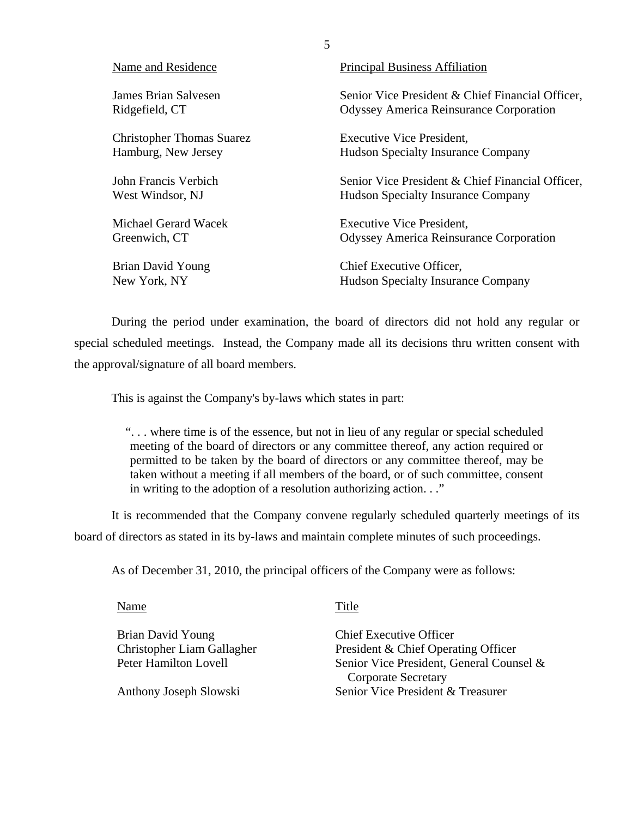| Name and Residence               | <b>Principal Business Affiliation</b>            |
|----------------------------------|--------------------------------------------------|
| James Brian Salvesen             | Senior Vice President & Chief Financial Officer, |
| Ridgefield, CT                   | <b>Odyssey America Reinsurance Corporation</b>   |
| <b>Christopher Thomas Suarez</b> | <b>Executive Vice President,</b>                 |
| Hamburg, New Jersey              | <b>Hudson Specialty Insurance Company</b>        |
| John Francis Verbich             | Senior Vice President & Chief Financial Officer, |
| West Windsor, NJ                 | <b>Hudson Specialty Insurance Company</b>        |
| Michael Gerard Wacek             | <b>Executive Vice President,</b>                 |
| Greenwich, CT                    | <b>Odyssey America Reinsurance Corporation</b>   |
| Brian David Young                | Chief Executive Officer,                         |
| New York, NY                     | <b>Hudson Specialty Insurance Company</b>        |

5

During the period under examination, the board of directors did not hold any regular or special scheduled meetings. Instead, the Company made all its decisions thru written consent with the approval/signature of all board members.

This is against the Company's by-laws which states in part:

". . . where time is of the essence, but not in lieu of any regular or special scheduled meeting of the board of directors or any committee thereof, any action required or permitted to be taken by the board of directors or any committee thereof, may be taken without a meeting if all members of the board, or of such committee, consent in writing to the adoption of a resolution authorizing action. . ."

It is recommended that the Company convene regularly scheduled quarterly meetings of its board of directors as stated in its by-laws and maintain complete minutes of such proceedings.

As of December 31, 2010, the principal officers of the Company were as follows:

Name Title

Brian David Young Christopher Liam Gallagher Peter Hamilton Lovell

Anthony Joseph Slowski

Chief Executive Officer President & Chief Operating Officer Senior Vice President, General Counsel & Corporate Secretary Senior Vice President & Treasurer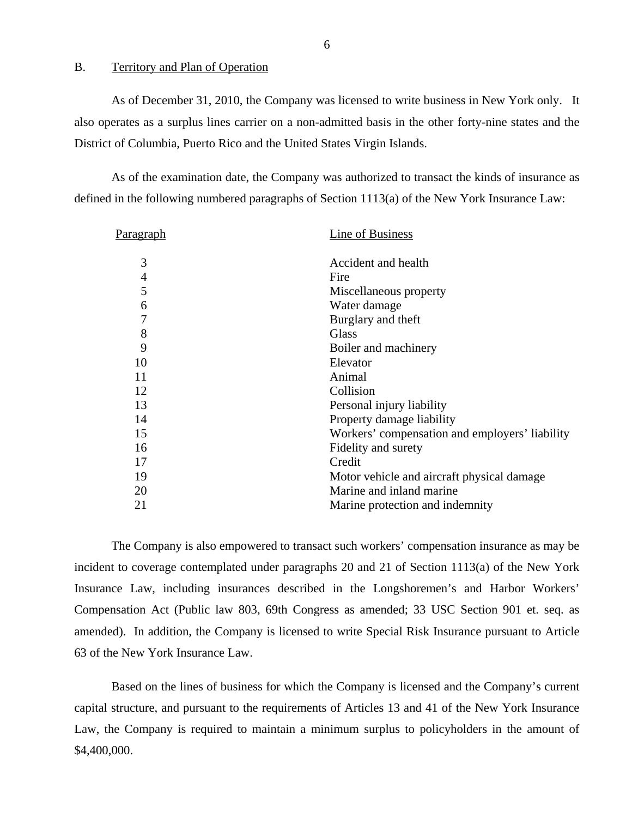#### <span id="page-7-0"></span>B. Territory and Plan of Operation

As of December 31, 2010, the Company was licensed to write business in New York only. It also operates as a surplus lines carrier on a non-admitted basis in the other forty-nine states and the District of Columbia, Puerto Rico and the United States Virgin Islands.

As of the examination date, the Company was authorized to transact the kinds of insurance as defined in the following numbered paragraphs of Section 1113(a) of the New York Insurance Law:

| Paragraph      | Line of Business                               |
|----------------|------------------------------------------------|
| 3              | Accident and health                            |
| $\overline{4}$ | Fire                                           |
| 5              | Miscellaneous property                         |
| 6              | Water damage                                   |
| 7              | Burglary and theft                             |
| 8              | Glass                                          |
| 9              | Boiler and machinery                           |
| 10             | Elevator                                       |
| 11             | Animal                                         |
| 12             | Collision                                      |
| 13             | Personal injury liability                      |
| 14             | Property damage liability                      |
| 15             | Workers' compensation and employers' liability |
| 16             | Fidelity and surety                            |
| 17             | Credit                                         |
| 19             | Motor vehicle and aircraft physical damage     |
| 20             | Marine and inland marine                       |
| 21             | Marine protection and indemnity                |

The Company is also empowered to transact such workers' compensation insurance as may be incident to coverage contemplated under paragraphs 20 and 21 of Section 1113(a) of the New York Insurance Law, including insurances described in the Longshoremen's and Harbor Workers' Compensation Act (Public law 803, 69th Congress as amended; 33 USC Section 901 et. seq. as amended). In addition, the Company is licensed to write Special Risk Insurance pursuant to Article 63 of the New York Insurance Law.

Based on the lines of business for which the Company is licensed and the Company's current capital structure, and pursuant to the requirements of Articles 13 and 41 of the New York Insurance Law, the Company is required to maintain a minimum surplus to policyholders in the amount of \$4,400,000.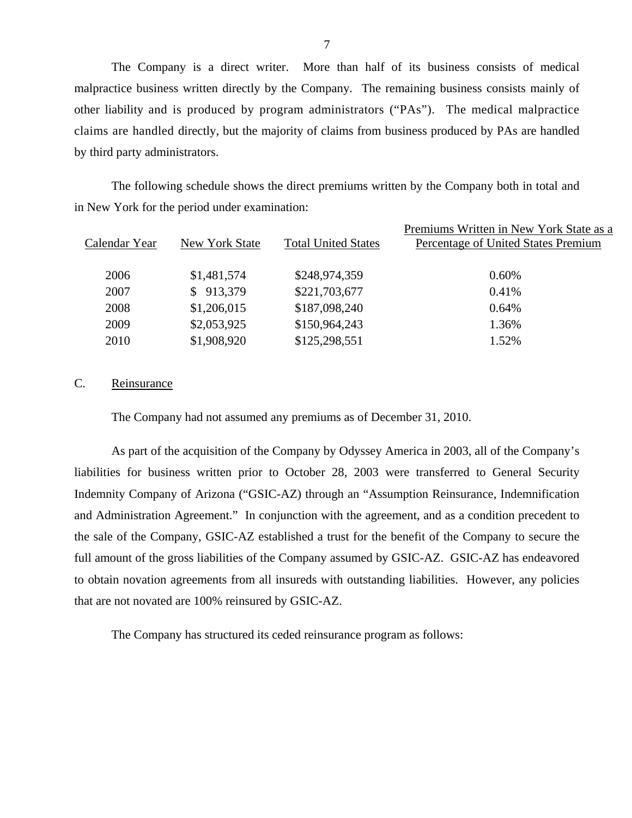other liability and is produced by program administrators ("PAs"). The medical malpractice claims are handled directly, but the majority of claims from business produced by PAs are handled The Company is a direct writer. More than half of its business consists of medical malpractice business written directly by the Company. The remaining business consists mainly of by third party administrators.

The following schedule shows the direct premiums written by the Company both in total and in New York for the period under examination:

|               |                |                            | Premiums Written in New York State as a |
|---------------|----------------|----------------------------|-----------------------------------------|
| Calendar Year | New York State | <b>Total United States</b> | Percentage of United States Premium     |
|               |                |                            |                                         |
| 2006          | \$1,481,574    | \$248,974,359              | 0.60%                                   |
| 2007          | \$913,379      | \$221,703,677              | 0.41%                                   |
| 2008          | \$1,206,015    | \$187,098,240              | 0.64%                                   |
| 2009          | \$2,053,925    | \$150,964,243              | 1.36%                                   |
| 2010          | \$1,908,920    | \$125,298,551              | 1.52%                                   |
|               |                |                            |                                         |

#### C. Reinsurance

The Company had not assumed any premiums as of December 31, 2010.

As part of the acquisition of the Company by Odyssey America in 2003, all of the Company's liabilities for business written prior to October 28, 2003 were transferred to General Security Indemnity Company of Arizona ("GSIC-AZ) through an "Assumption Reinsurance, Indemnification and Administration Agreement." In conjunction with the agreement, and as a condition precedent to the sale of the Company, GSIC-AZ established a trust for the benefit of the Company to secure the full amount of the gross liabilities of the Company assumed by GSIC-AZ. GSIC-AZ has endeavored to obtain novation agreements from all insureds with outstanding liabilities. However, any policies that are not novated are 100% reinsured by GSIC-AZ.

The Company has structured its ceded reinsurance program as follows:

7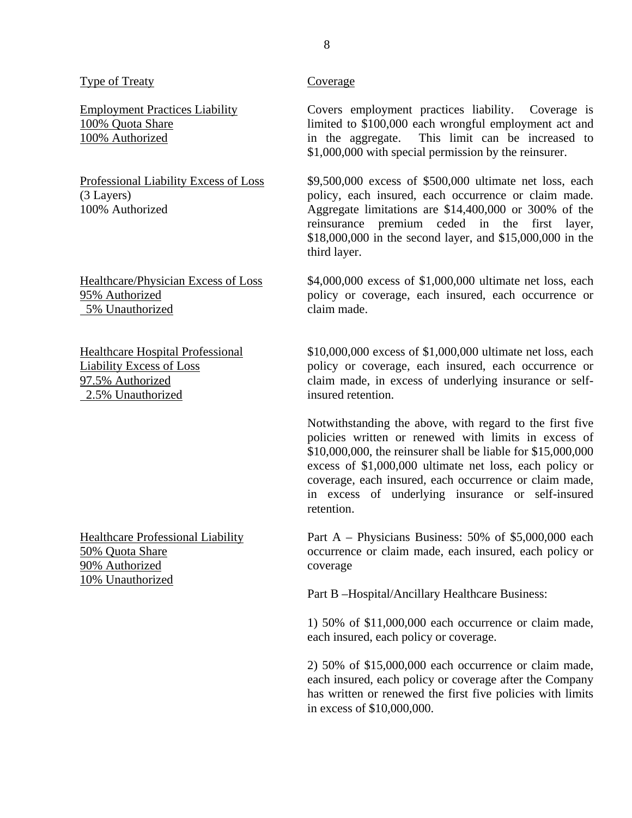#### Type of Treaty Coverage

5% Unauthorized claim made.

2.5% Unauthorized insured retention.

90% Authorized coverage 10% Unauthorized

Employment Practices Liability Covers employment practices liability. Coverage is 100% Quota Share limited to \$100,000 each wrongful employment act and 100% Authorized in the aggregate. This limit can be increased to \$1,000,000 with special permission by the reinsurer.

Professional Liability Excess of Loss \$9,500,000 excess of \$500,000 ultimate net loss, each (3 Layers) policy, each insured, each occurrence or claim made. 100% Authorized Aggregate limitations are \$14,400,000 or 300% of the reinsurance premium ceded in the first layer, \$18,000,000 in the second layer, and \$15,000,000 in the third layer.

Healthcare/Physician Excess of Loss \$4,000,000 excess of \$1,000,000 ultimate net loss, each 95% Authorized policy or coverage, each insured, each occurrence or

Healthcare Hospital Professional \$10,000,000 excess of \$1,000,000 ultimate net loss, each Liability Excess of Loss policy or coverage, each insured, each occurrence or 97.5% Authorized claim made, in excess of underlying insurance or self-

> Notwithstanding the above, with regard to the first five policies written or renewed with limits in excess of \$10,000,000, the reinsurer shall be liable for \$15,000,000 excess of \$1,000,000 ultimate net loss, each policy or coverage, each insured, each occurrence or claim made, in excess of underlying insurance or self-insured retention.

Healthcare Professional Liability Part A – Physicians Business: 50% of \$5,000,000 each 50% Quota Share occurrence or claim made, each insured, each policy or

Part B –Hospital/Ancillary Healthcare Business:

1) 50% of \$11,000,000 each occurrence or claim made, each insured, each policy or coverage.

2) 50% of \$15,000,000 each occurrence or claim made, each insured, each policy or coverage after the Company has written or renewed the first five policies with limits in excess of \$10,000,000.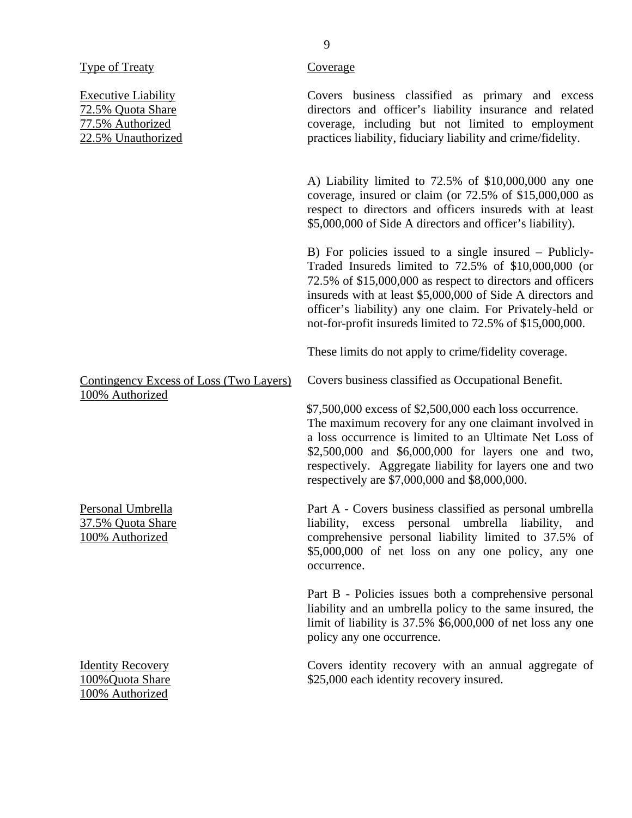|  | vne of Treaty |
|--|---------------|
|  |               |

100% Authorized

Executive Liability 72.5% Quota Share 77.5% Authorized 22.5% Unauthorized Contingency Excess of Loss (Two Layers) 100% Authorized Personal Umbrella 37.5% Quota Share 100% Authorized Identity Recovery 100%Quota Share Covers business classified as primary and excess directors and officer's liability insurance and related coverage, including but not limited to employment practices liability, fiduciary liability and crime/fidelity. A) Liability limited to 72.5% of \$10,000,000 any one coverage, insured or claim (or 72.5% of \$15,000,000 as respect to directors and officers insureds with at least \$5,000,000 of Side A directors and officer's liability). B) For policies issued to a single insured – Publicly-Traded Insureds limited to 72.5% of \$10,000,000 (or 72.5% of \$15,000,000 as respect to directors and officers insureds with at least \$5,000,000 of Side A directors and officer's liability) any one claim. For Privately-held or not-for-profit insureds limited to 72.5% of \$15,000,000. These limits do not apply to crime/fidelity coverage. Covers business classified as Occupational Benefit. \$7,500,000 excess of \$2,500,000 each loss occurrence. The maximum recovery for any one claimant involved in a loss occurrence is limited to an Ultimate Net Loss of \$2,500,000 and \$6,000,000 for layers one and two, respectively. Aggregate liability for layers one and two respectively are \$7,000,000 and \$8,000,000. Part A - Covers business classified as personal umbrella liability, excess personal umbrella liability, and comprehensive personal liability limited to 37.5% of \$5,000,000 of net loss on any one policy, any one occurrence. Part B - Policies issues both a comprehensive personal liability and an umbrella policy to the same insured, the limit of liability is 37.5% \$6,000,000 of net loss any one policy any one occurrence. Covers identity recovery with an annual aggregate of \$25,000 each identity recovery insured.

# Coverage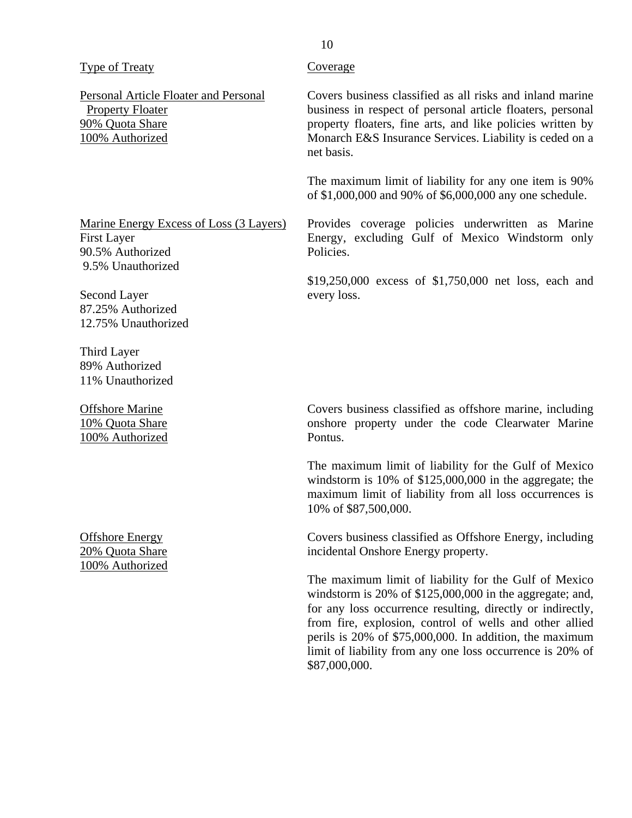| Type of Treaty |  |
|----------------|--|
|                |  |

Personal Article Floater and Personal Property Floater 90% Quota Share 100% Authorized

Marine Energy Excess of Loss (3 Layers) First Layer 90.5% Authorized 9.5% Unauthorized

Second Layer 87.25% Authorized 12.75% Unauthorized

Third Layer 89% Authorized 11% Unauthorized

Offshore Marine 10% Quota Share 100% Authorized

Offshore Energy 20% Quota Share 100% Authorized

#### Coverage

Covers business classified as all risks and inland marine business in respect of personal article floaters, personal property floaters, fine arts, and like policies written by Monarch E&S Insurance Services. Liability is ceded on a net basis.

The maximum limit of liability for any one item is 90% of \$1,000,000 and 90% of \$6,000,000 any one schedule.

Provides coverage policies underwritten as Marine Energy, excluding Gulf of Mexico Windstorm only Policies.

\$19,250,000 excess of \$1,750,000 net loss, each and every loss.

Covers business classified as offshore marine, including onshore property under the code Clearwater Marine Pontus.

The maximum limit of liability for the Gulf of Mexico windstorm is 10% of \$125,000,000 in the aggregate; the maximum limit of liability from all loss occurrences is 10% of \$87,500,000.

Covers business classified as Offshore Energy, including incidental Onshore Energy property.

The maximum limit of liability for the Gulf of Mexico windstorm is 20% of \$125,000,000 in the aggregate; and, for any loss occurrence resulting, directly or indirectly, from fire, explosion, control of wells and other allied perils is 20% of \$75,000,000. In addition, the maximum limit of liability from any one loss occurrence is 20% of \$87,000,000.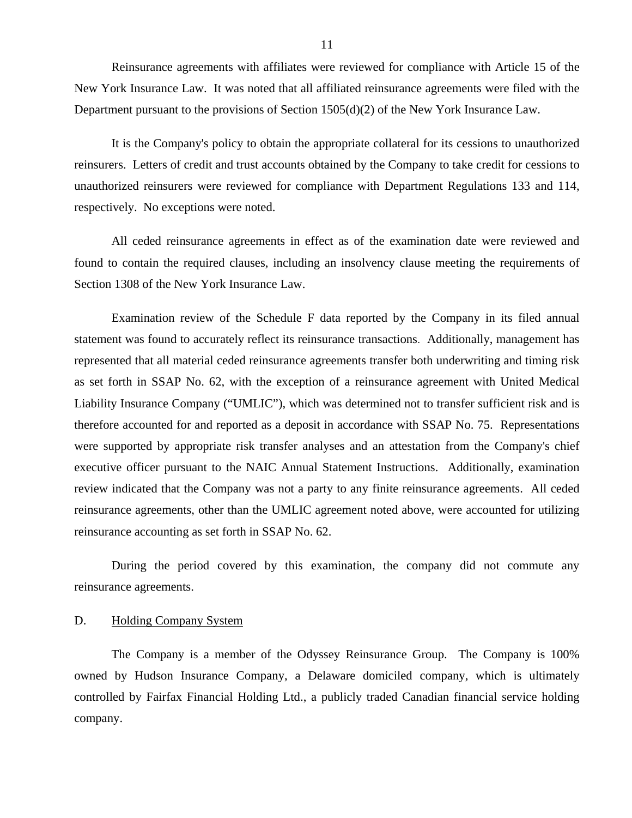<span id="page-12-0"></span>Reinsurance agreements with affiliates were reviewed for compliance with Article 15 of the New York Insurance Law. It was noted that all affiliated reinsurance agreements were filed with the Department pursuant to the provisions of Section 1505(d)(2) of the New York Insurance Law.

It is the Company's policy to obtain the appropriate collateral for its cessions to unauthorized reinsurers. Letters of credit and trust accounts obtained by the Company to take credit for cessions to unauthorized reinsurers were reviewed for compliance with Department Regulations 133 and 114, respectively. No exceptions were noted.

All ceded reinsurance agreements in effect as of the examination date were reviewed and found to contain the required clauses, including an insolvency clause meeting the requirements of Section 1308 of the New York Insurance Law.

Examination review of the Schedule F data reported by the Company in its filed annual statement was found to accurately reflect its reinsurance transactions. Additionally, management has represented that all material ceded reinsurance agreements transfer both underwriting and timing risk as set forth in SSAP No. 62, with the exception of a reinsurance agreement with United Medical Liability Insurance Company ("UMLIC"), which was determined not to transfer sufficient risk and is therefore accounted for and reported as a deposit in accordance with SSAP No. 75. Representations were supported by appropriate risk transfer analyses and an attestation from the Company's chief executive officer pursuant to the NAIC Annual Statement Instructions. Additionally, examination review indicated that the Company was not a party to any finite reinsurance agreements. All ceded reinsurance agreements, other than the UMLIC agreement noted above, were accounted for utilizing reinsurance accounting as set forth in SSAP No. 62.

During the period covered by this examination, the company did not commute any reinsurance agreements.

#### D. Holding Company System

The Company is a member of the Odyssey Reinsurance Group. The Company is 100% owned by Hudson Insurance Company, a Delaware domiciled company, which is ultimately controlled by Fairfax Financial Holding Ltd., a publicly traded Canadian financial service holding company.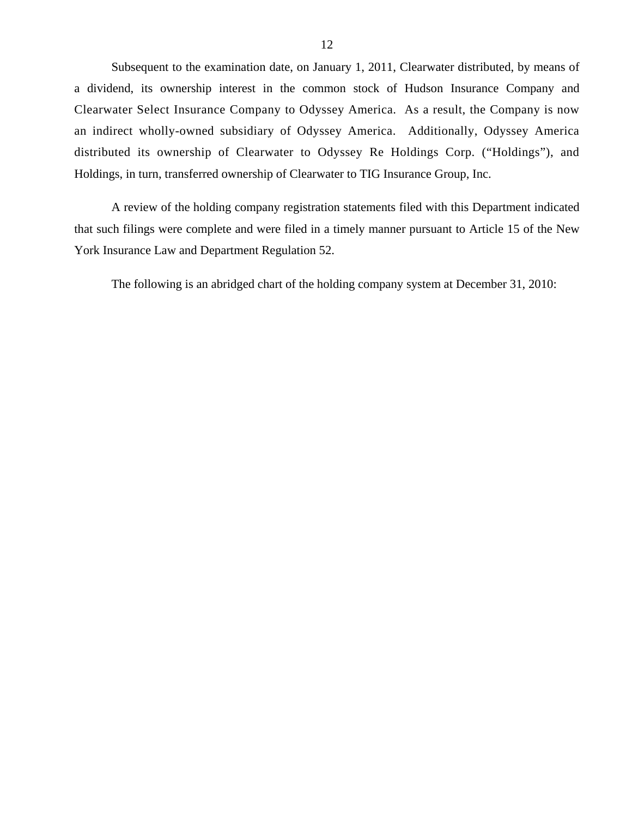Subsequent to the examination date, on January 1, 2011, Clearwater distributed, by means of a dividend, its ownership interest in the common stock of Hudson Insurance Company and Clearwater Select Insurance Company to Odyssey America. As a result, the Company is now an indirect wholly-owned subsidiary of Odyssey America. Additionally, Odyssey America distributed its ownership of Clearwater to Odyssey Re Holdings Corp. ("Holdings"), and Holdings, in turn, transferred ownership of Clearwater to TIG Insurance Group, Inc.

A review of the holding company registration statements filed with this Department indicated that such filings were complete and were filed in a timely manner pursuant to Article 15 of the New York Insurance Law and Department Regulation 52.

The following is an abridged chart of the holding company system at December 31, 2010: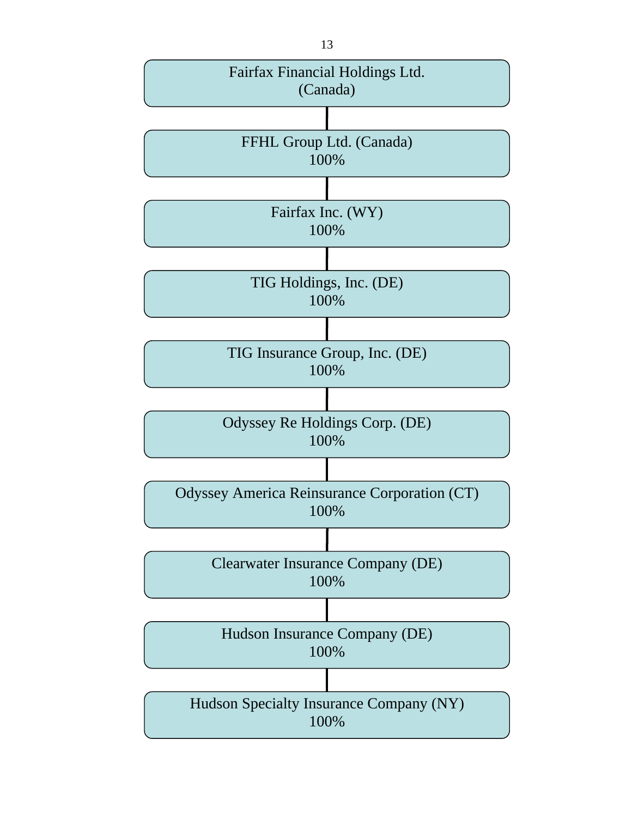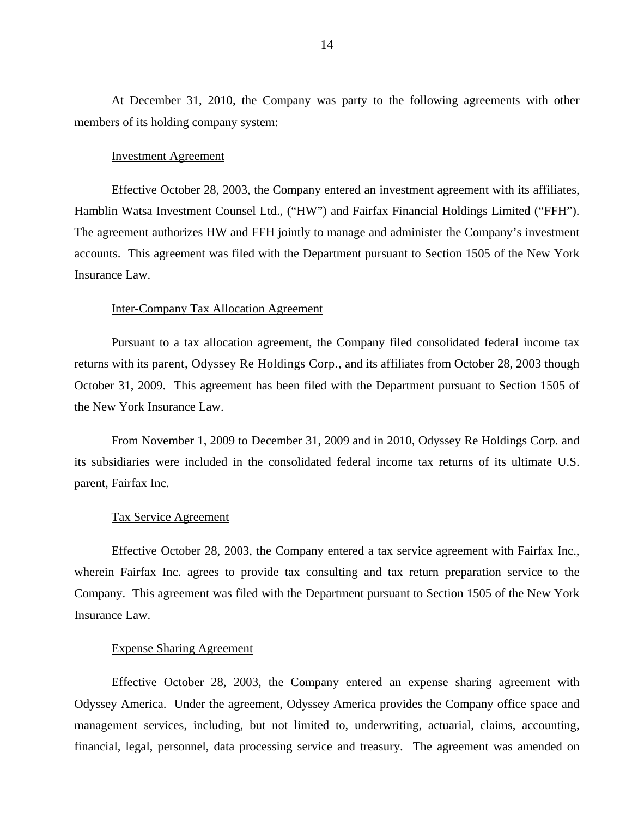At December 31, 2010, the Company was party to the following agreements with other members of its holding company system:

#### Investment Agreement

Effective October 28, 2003, the Company entered an investment agreement with its affiliates, Hamblin Watsa Investment Counsel Ltd., ("HW") and Fairfax Financial Holdings Limited ("FFH"). The agreement authorizes HW and FFH jointly to manage and administer the Company's investment accounts. This agreement was filed with the Department pursuant to Section 1505 of the New York Insurance Law.

#### Inter-Company Tax Allocation Agreement

 returns with its parent, Odyssey Re Holdings Corp., and its affiliates from October 28, 2003 though Pursuant to a tax allocation agreement, the Company filed consolidated federal income tax October 31, 2009. This agreement has been filed with the Department pursuant to Section 1505 of the New York Insurance Law.

From November 1, 2009 to December 31, 2009 and in 2010, Odyssey Re Holdings Corp. and its subsidiaries were included in the consolidated federal income tax returns of its ultimate U.S. parent, Fairfax Inc.

#### Tax Service Agreement

Effective October 28, 2003, the Company entered a tax service agreement with Fairfax Inc., wherein Fairfax Inc. agrees to provide tax consulting and tax return preparation service to the Company. This agreement was filed with the Department pursuant to Section 1505 of the New York Insurance Law.

#### Expense Sharing Agreement

Effective October 28, 2003, the Company entered an expense sharing agreement with Odyssey America. Under the agreement, Odyssey America provides the Company office space and management services, including, but not limited to, underwriting, actuarial, claims, accounting, financial, legal, personnel, data processing service and treasury. The agreement was amended on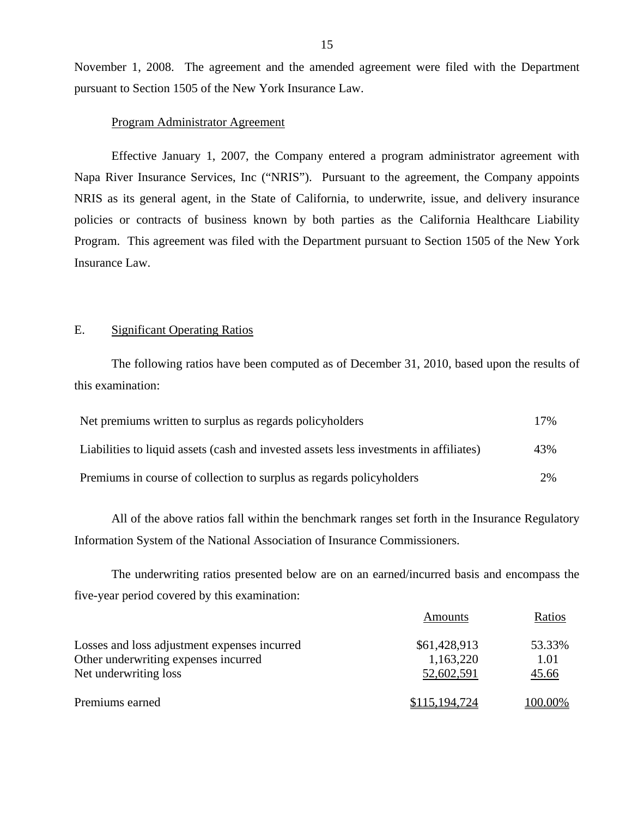November 1, 2008. The agreement and the amended agreement were filed with the Department pursuant to Section 1505 of the New York Insurance Law.

#### Program Administrator Agreement

Effective January 1, 2007, the Company entered a program administrator agreement with Napa River Insurance Services, Inc ("NRIS"). Pursuant to the agreement, the Company appoints NRIS as its general agent, in the State of California, to underwrite, issue, and delivery insurance policies or contracts of business known by both parties as the California Healthcare Liability Program. This agreement was filed with the Department pursuant to Section 1505 of the New York Insurance Law.

#### E. Significant Operating Ratios

The following ratios have been computed as of December 31, 2010, based upon the results of this examination:

| Net premiums written to surplus as regards policyholders                               | 17% |
|----------------------------------------------------------------------------------------|-----|
| Liabilities to liquid assets (cash and invested assets less investments in affiliates) | 43% |
| Premiums in course of collection to surplus as regards policyholders                   | 2%  |

All of the above ratios fall within the benchmark ranges set forth in the Insurance Regulatory Information System of the National Association of Insurance Commissioners.

The underwriting ratios presented below are on an earned/incurred basis and encompass the five-year period covered by this examination:

|                                              | Amounts       | Ratios  |
|----------------------------------------------|---------------|---------|
| Losses and loss adjustment expenses incurred | \$61,428,913  | 53.33%  |
| Other underwriting expenses incurred         | 1,163,220     | 1.01    |
| Net underwriting loss                        | 52,602,591    | 45.66   |
| Premiums earned                              | \$115,194,724 | 100.00% |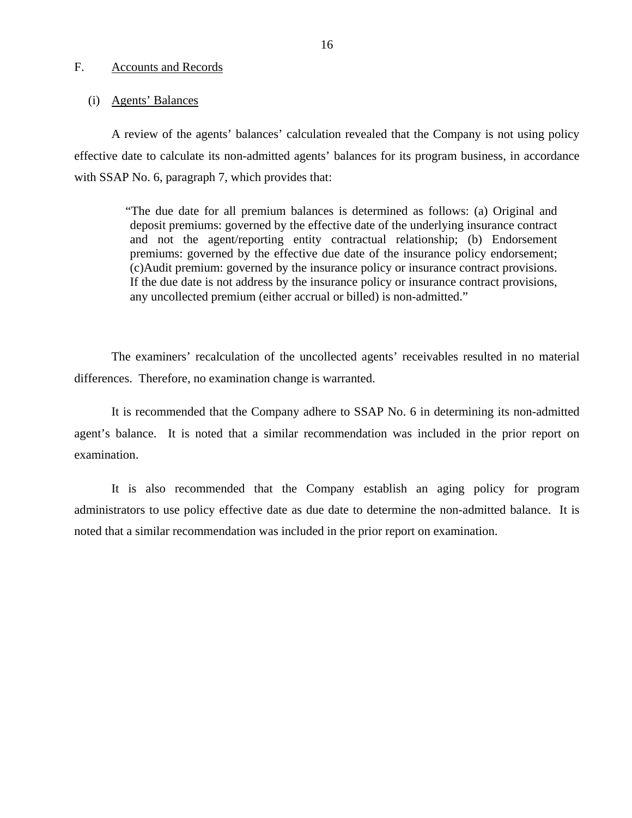#### <span id="page-17-0"></span>F. Accounts and Records

#### (i) Agents' Balances

A review of the agents' balances' calculation revealed that the Company is not using policy effective date to calculate its non-admitted agents' balances for its program business, in accordance with SSAP No. 6, paragraph 7, which provides that:

> "The due date for all premium balances is determined as follows: (a) Original and deposit premiums: governed by the effective date of the underlying insurance contract and not the agent/reporting entity contractual relationship; (b) Endorsement premiums: governed by the effective due date of the insurance policy endorsement; (c)Audit premium: governed by the insurance policy or insurance contract provisions. If the due date is not address by the insurance policy or insurance contract provisions, any uncollected premium (either accrual or billed) is non-admitted."

The examiners' recalculation of the uncollected agents' receivables resulted in no material differences. Therefore, no examination change is warranted.

It is recommended that the Company adhere to SSAP No. 6 in determining its non-admitted agent's balance. It is noted that a similar recommendation was included in the prior report on examination.

It is also recommended that the Company establish an aging policy for program administrators to use policy effective date as due date to determine the non-admitted balance. It is noted that a similar recommendation was included in the prior report on examination.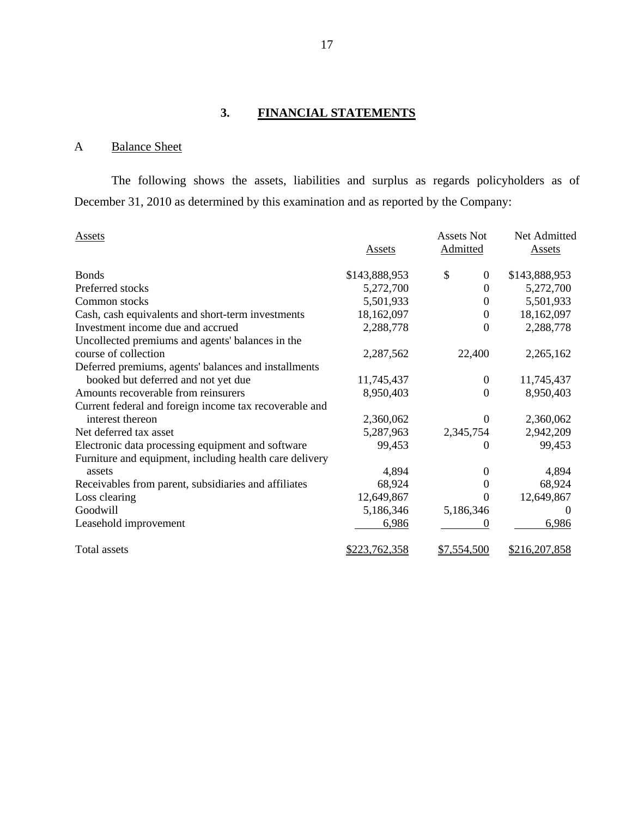# **3. FINANCIAL STATEMENTS**

# A Balance Sheet

The following shows the assets, liabilities and surplus as regards policyholders as of December 31, 2010 as determined by this examination and as reported by the Company:

| Assets                                                  | <b>Assets</b>        | <b>Assets Not</b><br>Admitted | Net Admitted<br><b>Assets</b> |
|---------------------------------------------------------|----------------------|-------------------------------|-------------------------------|
| <b>Bonds</b>                                            | \$143,888,953        | \$<br>$\mathbf{0}$            | \$143,888,953                 |
| Preferred stocks                                        | 5,272,700            | $\Omega$                      | 5,272,700                     |
| Common stocks                                           | 5,501,933            | $\theta$                      | 5,501,933                     |
| Cash, cash equivalents and short-term investments       | 18,162,097           | $\Omega$                      | 18,162,097                    |
| Investment income due and accrued                       | 2,288,778            | $\Omega$                      | 2,288,778                     |
| Uncollected premiums and agents' balances in the        |                      |                               |                               |
| course of collection                                    | 2,287,562            | 22,400                        | 2,265,162                     |
| Deferred premiums, agents' balances and installments    |                      |                               |                               |
| booked but deferred and not yet due                     | 11,745,437           | $\mathbf{0}$                  | 11,745,437                    |
| Amounts recoverable from reinsurers                     | 8,950,403            | $\Omega$                      | 8,950,403                     |
| Current federal and foreign income tax recoverable and  |                      |                               |                               |
| interest thereon                                        | 2,360,062            | $\Omega$                      | 2,360,062                     |
| Net deferred tax asset                                  | 5,287,963            | 2,345,754                     | 2,942,209                     |
| Electronic data processing equipment and software       | 99,453               | $\Omega$                      | 99,453                        |
| Furniture and equipment, including health care delivery |                      |                               |                               |
| assets                                                  | 4,894                | $\theta$                      | 4,894                         |
| Receivables from parent, subsidiaries and affiliates    | 68,924               | $\Omega$                      | 68,924                        |
| Loss clearing                                           | 12,649,867           | $\theta$                      | 12,649,867                    |
| Goodwill                                                | 5,186,346            | 5,186,346                     |                               |
| Leasehold improvement                                   | 6,986                | $\mathbf{\Omega}$             | 6,986                         |
| <b>Total assets</b>                                     | <u>\$223,762,358</u> | \$7,554,500                   | \$216,207,858                 |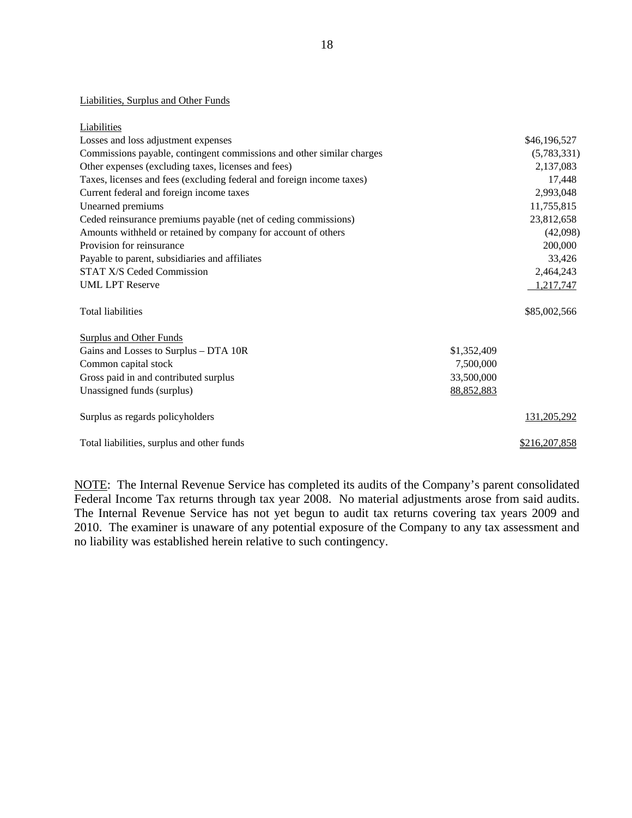# Liabilities, Surplus and Other Funds<br>Liabilities

| Liabilities                                                           |                    |
|-----------------------------------------------------------------------|--------------------|
| Losses and loss adjustment expenses                                   | \$46,196,527       |
| Commissions payable, contingent commissions and other similar charges | (5,783,331)        |
| Other expenses (excluding taxes, licenses and fees)                   | 2,137,083          |
| Taxes, licenses and fees (excluding federal and foreign income taxes) | 17,448             |
| Current federal and foreign income taxes                              | 2,993,048          |
| Unearned premiums                                                     | 11,755,815         |
| Ceded reinsurance premiums payable (net of ceding commissions)        | 23,812,658         |
| Amounts withheld or retained by company for account of others         | (42,098)           |
| Provision for reinsurance                                             | 200,000            |
| Payable to parent, subsidiaries and affiliates                        | 33,426             |
| <b>STAT X/S Ceded Commission</b>                                      | 2,464,243          |
| <b>UML LPT Reserve</b>                                                | 1,217,747          |
| <b>Total liabilities</b>                                              | \$85,002,566       |
| <b>Surplus and Other Funds</b>                                        |                    |
| Gains and Losses to Surplus - DTA 10R<br>\$1,352,409                  |                    |
| Common capital stock<br>7,500,000                                     |                    |
| Gross paid in and contributed surplus<br>33,500,000                   |                    |
| Unassigned funds (surplus)<br>88,852,883                              |                    |
| Surplus as regards policyholders                                      | <u>131,205,292</u> |
| Total liabilities, surplus and other funds                            | \$216,207,858      |

NOTE: The Internal Revenue Service has completed its audits of the Company's parent consolidated Federal Income Tax returns through tax year 2008. No material adjustments arose from said audits. The Internal Revenue Service has not yet begun to audit tax returns covering tax years 2009 and 2010. The examiner is unaware of any potential exposure of the Company to any tax assessment and no liability was established herein relative to such contingency.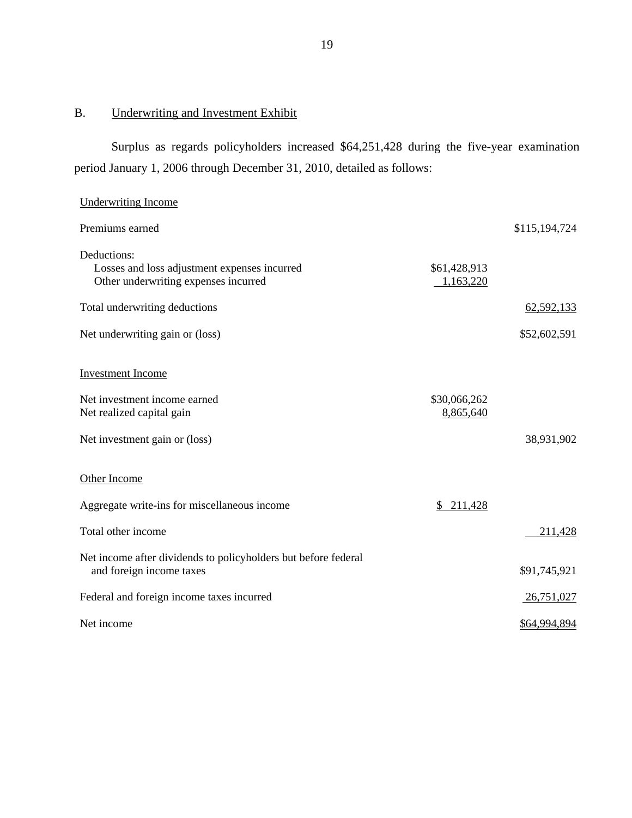# B. Underwriting and Investment Exhibit

Surplus as regards policyholders increased \$64,251,428 during the five-year examination period January 1, 2006 through December 31, 2010, detailed as follows:

| <b>Underwriting Income</b>                                                                          |                           |               |
|-----------------------------------------------------------------------------------------------------|---------------------------|---------------|
| Premiums earned                                                                                     |                           | \$115,194,724 |
| Deductions:<br>Losses and loss adjustment expenses incurred<br>Other underwriting expenses incurred | \$61,428,913<br>1,163,220 |               |
| Total underwriting deductions                                                                       |                           | 62,592,133    |
| Net underwriting gain or (loss)                                                                     |                           | \$52,602,591  |
| <b>Investment Income</b>                                                                            |                           |               |
| Net investment income earned<br>Net realized capital gain                                           | \$30,066,262<br>8,865,640 |               |
| Net investment gain or (loss)                                                                       |                           | 38,931,902    |
| Other Income                                                                                        |                           |               |
| Aggregate write-ins for miscellaneous income                                                        | \$211,428                 |               |
| Total other income                                                                                  |                           | 211,428       |
| Net income after dividends to policyholders but before federal<br>and foreign income taxes          |                           | \$91,745,921  |
| Federal and foreign income taxes incurred                                                           |                           | 26,751,027    |
| Net income                                                                                          |                           | \$64,994,894  |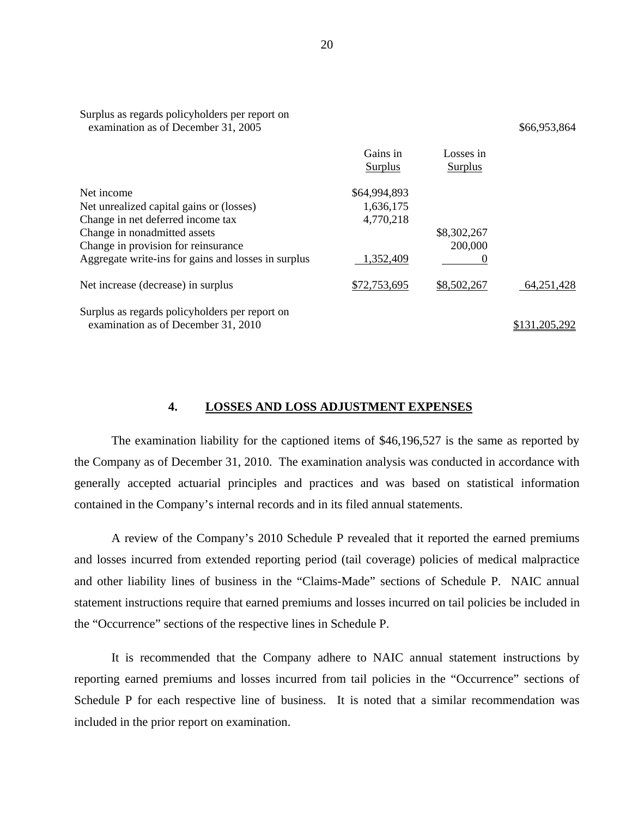| examination as of December 31, 2005                 |                     |                             | \$66,953,864  |
|-----------------------------------------------------|---------------------|-----------------------------|---------------|
|                                                     | Gains in<br>Surplus | Losses in<br><b>Surplus</b> |               |
| Net income                                          | \$64,994,893        |                             |               |
| Net unrealized capital gains or (losses)            | 1,636,175           |                             |               |
| Change in net deferred income tax                   | 4,770,218           |                             |               |
| Change in nonadmitted assets                        |                     | \$8,302,267                 |               |
| Change in provision for reinsurance                 |                     | 200,000                     |               |
| Aggregate write-ins for gains and losses in surplus | 1,352,409           | $\theta$                    |               |
| Net increase (decrease) in surplus                  | \$72,753,695        | \$8,502,267                 | 64,251,428    |
| Surplus as regards policyholders per report on      |                     |                             |               |
| examination as of December 31, 2010                 |                     |                             | \$131,205,292 |

#### **4. LOSSES AND LOSS ADJUSTMENT EXPENSES**

The examination liability for the captioned items of \$46,196,527 is the same as reported by the Company as of December 31, 2010. The examination analysis was conducted in accordance with generally accepted actuarial principles and practices and was based on statistical information contained in the Company's internal records and in its filed annual statements.

A review of the Company's 2010 Schedule P revealed that it reported the earned premiums and losses incurred from extended reporting period (tail coverage) policies of medical malpractice and other liability lines of business in the "Claims-Made" sections of Schedule P. NAIC annual statement instructions require that earned premiums and losses incurred on tail policies be included in the "Occurrence" sections of the respective lines in Schedule P.

It is recommended that the Company adhere to NAIC annual statement instructions by reporting earned premiums and losses incurred from tail policies in the "Occurrence" sections of Schedule P for each respective line of business. It is noted that a similar recommendation was included in the prior report on examination.

Surplus as regards policyholders per report on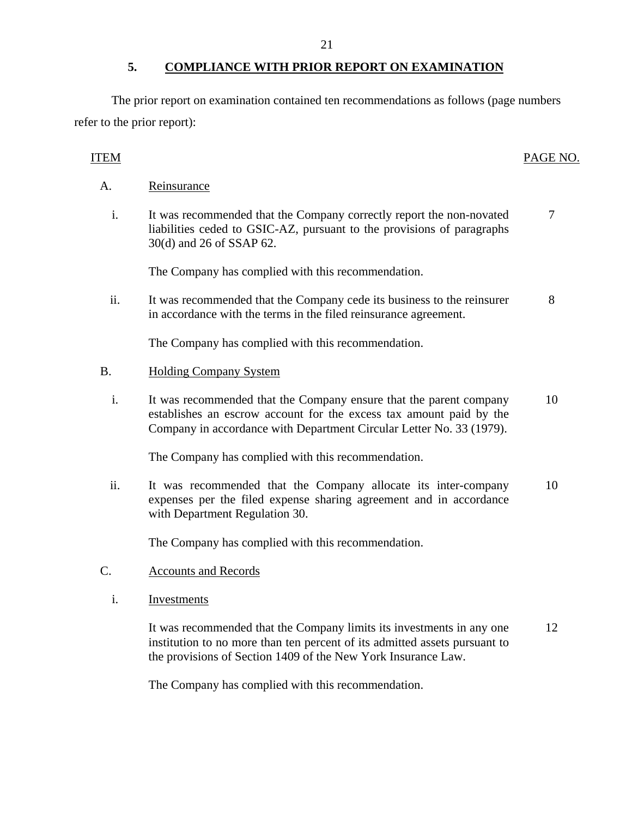The prior report on examination contained ten recommendations as follows (page numbers refer to the prior report):

## ITEM PAGE NO.

- Reinsurance
- A. Reinsurance<br>i. It was recommended that the Company correctly report the non-novated liabilities ceded to GSIC-AZ, pursuant to the provisions of paragraphs 30(d) and 26 of SSAP 62. 7

The Company has complied with this recommendation.

ii. It was recommended that the Company cede its business to the reinsurer in accordance with the terms in the filed reinsurance agreement. 8

The Company has complied with this recommendation.

#### **Holding Company System**

B. Holding Company System<br>i. It was recommended that the Company ensure that the parent company establishes an escrow account for the excess tax amount paid by the Company in accordance with Department Circular Letter No. 33 (1979). 10

The Company has complied with this recommendation.

ii. It was recommended that the Company allocate its inter-company expenses per the filed expense sharing agreement and in accordance with Department Regulation 30. 10

The Company has complied with this recommendation.

- **Accounts and Records** 
	- Investments

C. Accounts and Records<br>
i. Investments<br>
It was recommended that the Company limits its investments in any one institution to no more than ten percent of its admitted assets pursuant to the provisions of Section 1409 of the New York Insurance Law. 12

The Company has complied with this recommendation.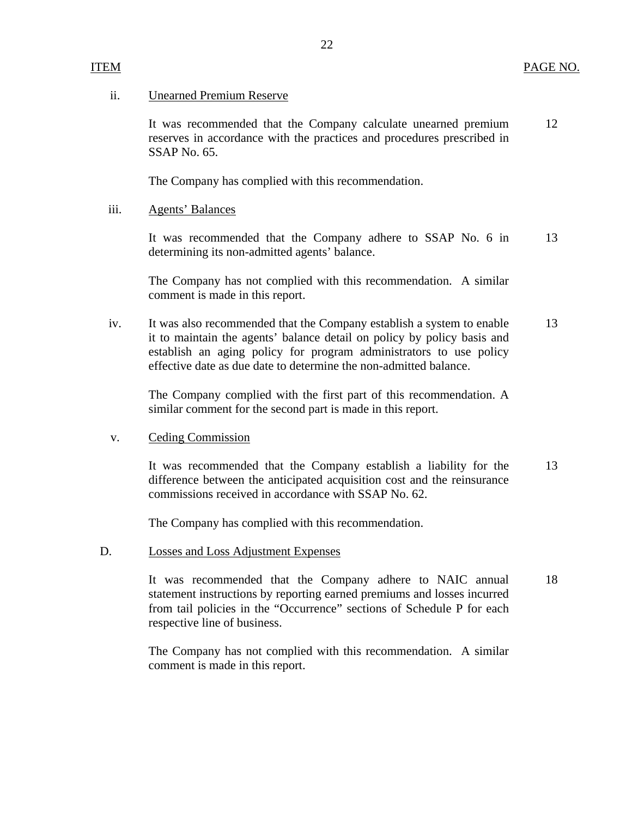#### **Unearned Premium Reserve**

ii. Unearned Premium Reserve<br>It was recommended that the Company calculate unearned premium reserves in accordance with the practices and procedures prescribed in SSAP No. 65. 12

The Company has complied with this recommendation.

#### **Agents' Balances**

iii. Agents' Balances<br>It was recommended that the Company adhere to SSAP No. 6 in determining its non-admitted agents' balance. 13

The Company has not complied with this recommendation. A similar comment is made in this report.

iv. It was also recommended that the Company establish a system to enable it to maintain the agents' balance detail on policy by policy basis and establish an aging policy for program administrators to use policy effective date as due date to determine the non-admitted balance. 13

The Company complied with the first part of this recommendation. A similar comment for the second part is made in this report.

#### **Ceding Commission**

v. Ceding Commission<br>It was recommended that the Company establish a liability for the difference between the anticipated acquisition cost and the reinsurance commissions received in accordance with SSAP No. 62. 13

The Company has complied with this recommendation.

#### Losses and Loss Adjustment Expenses

D. Losses and Loss Adjustment Expenses<br>It was recommended that the Company adhere to NAIC annual statement instructions by reporting earned premiums and losses incurred from tail policies in the "Occurrence" sections of Schedule P for each respective line of business. 18

> The Company has not complied with this recommendation. A similar comment is made in this report.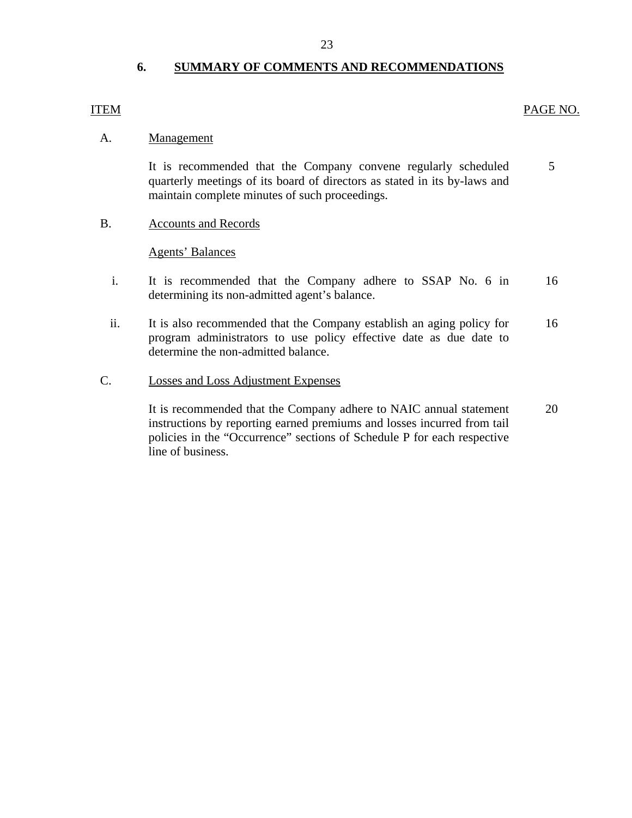#### **6. SUMMARY OF COMMENTS AND RECOMMENDATIONS**

#### **ITEM**

#### PAGE NO.

#### Management

5 A. <u>Management</u><br>It is recommended that the Company convene regularly scheduled quarterly meetings of its board of directors as stated in its by-laws and maintain complete minutes of such proceedings.

B. Accounts and Records

**Agents' Balances** 

- i. It is recommended that the Company adhere to SSAP No. 6 in determining its non-admitted agent's balance. 16
- ii. It is also recommended that the Company establish an aging policy for program administrators to use policy effective date as due date to determine the non-admitted balance. 16
- **Losses and Loss Adjustment Expenses**

C. Losses and Loss Adjustment Expenses<br>It is recommended that the Company adhere to NAIC annual statement instructions by reporting earned premiums and losses incurred from tail policies in the "Occurrence" sections of Schedule P for each respective line of business. 20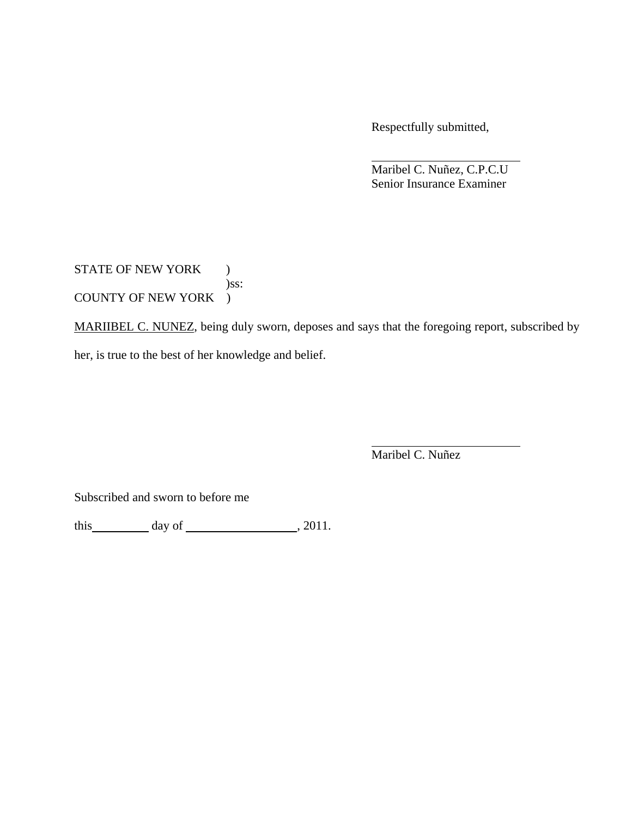Respectfully submitted,

 Maribel C. Nuñez, C.P.C.U Senior Insurance Examiner

STATE OF NEW YORK ) )ss: COUNTY OF NEW YORK )

MARIIBEL C. NUNEZ, being duly sworn, deposes and says that the foregoing report, subscribed by her, is true to the best of her knowledge and belief.

Maribel C. Nuñez

Subscribed and sworn to before me

this day of  $\qquad \qquad$  , 2011.